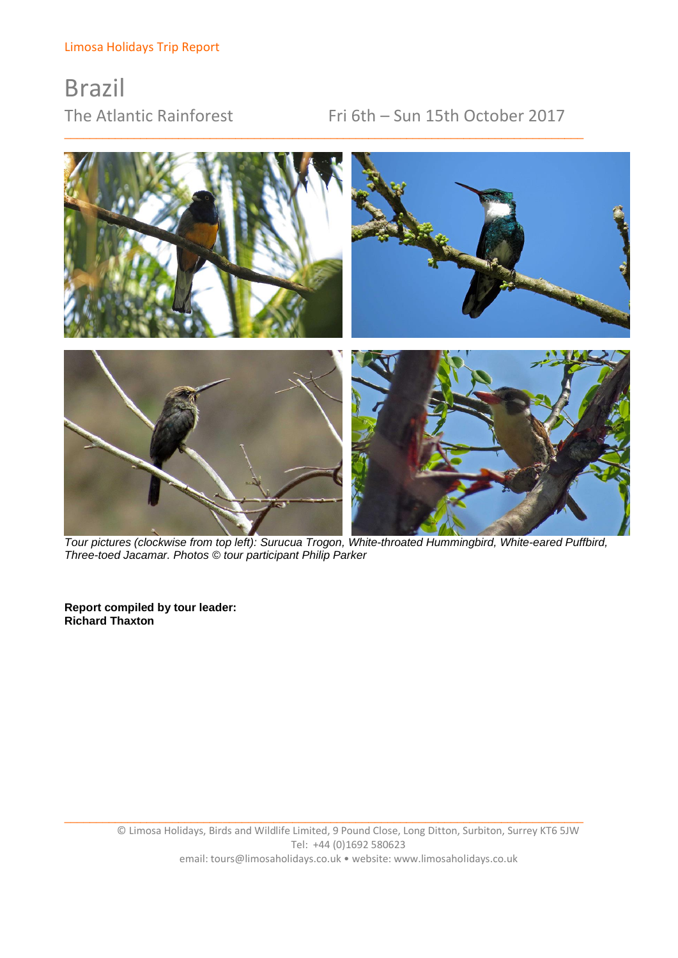# Brazil

## The Atlantic Rainforest Fri 6th – Sun 15th October 2017



\_\_\_\_\_\_\_\_\_\_\_\_\_\_\_\_\_\_\_\_\_\_\_\_\_\_\_\_\_\_\_\_\_\_\_\_\_\_\_\_\_\_\_\_\_\_\_\_\_\_\_\_\_\_\_\_\_\_\_\_\_\_\_\_\_\_\_\_\_\_\_\_\_\_\_\_\_\_\_\_\_\_

*Tour pictures (clockwise from top left): Surucua Trogon, White-throated Hummingbird, White-eared Puffbird, Three-toed Jacamar. Photos © tour participant Philip Parker*

**Report compiled by tour leader: Richard Thaxton**

\_\_\_\_\_\_\_\_\_\_\_\_\_\_\_\_\_\_\_\_\_\_\_\_\_\_\_\_\_\_\_\_\_\_\_\_\_\_\_\_\_\_\_\_\_\_\_\_\_\_\_\_\_\_\_\_\_\_\_\_\_\_\_\_\_\_\_\_\_\_\_\_\_\_\_\_\_\_\_\_\_\_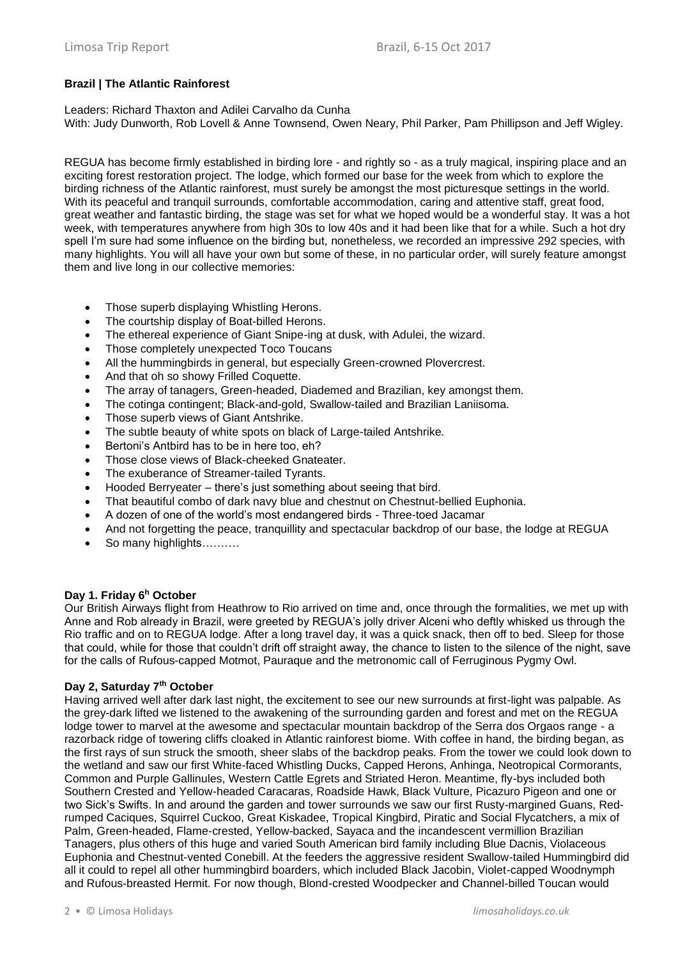## **Brazil | The Atlantic Rainforest**

Leaders: Richard Thaxton and Adilei Carvalho da Cunha With: Judy Dunworth, Rob Lovell & Anne Townsend, Owen Neary, Phil Parker, Pam Phillipson and Jeff Wigley.

REGUA has become firmly established in birding lore - and rightly so - as a truly magical, inspiring place and an exciting forest restoration project. The lodge, which formed our base for the week from which to explore the birding richness of the Atlantic rainforest, must surely be amongst the most picturesque settings in the world. With its peaceful and tranquil surrounds, comfortable accommodation, caring and attentive staff, great food, great weather and fantastic birding, the stage was set for what we hoped would be a wonderful stay. It was a hot week, with temperatures anywhere from high 30s to low 40s and it had been like that for a while. Such a hot dry spell I'm sure had some influence on the birding but, nonetheless, we recorded an impressive 292 species, with many highlights. You will all have your own but some of these, in no particular order, will surely feature amongst them and live long in our collective memories:

- Those superb displaying Whistling Herons.
- The courtship display of Boat-billed Herons.
- The ethereal experience of Giant Snipe-ing at dusk, with Adulei, the wizard.
- Those completely unexpected Toco Toucans
- All the hummingbirds in general, but especially Green-crowned Plovercrest.
- And that oh so showy Frilled Coquette.
- The array of tanagers, Green-headed, Diademed and Brazilian, key amongst them.
- The cotinga contingent; Black-and-gold, Swallow-tailed and Brazilian Laniisoma.
- Those superb views of Giant Antshrike.
- The subtle beauty of white spots on black of Large-tailed Antshrike.
- Bertoni's Antbird has to be in here too, eh?
- Those close views of Black-cheeked Gnateater.
- The exuberance of Streamer-tailed Tyrants.
- Hooded Berryeater there's just something about seeing that bird.
- That beautiful combo of dark navy blue and chestnut on Chestnut-bellied Euphonia.
- A dozen of one of the world's most endangered birds Three-toed Jacamar
- And not forgetting the peace, tranquillity and spectacular backdrop of our base, the lodge at REGUA
- So many highlights.........

## **Day 1. Friday 6<sup>h</sup> October**

Our British Airways flight from Heathrow to Rio arrived on time and, once through the formalities, we met up with Anne and Rob already in Brazil, were greeted by REGUA's jolly driver Alceni who deftly whisked us through the Rio traffic and on to REGUA lodge. After a long travel day, it was a quick snack, then off to bed. Sleep for those that could, while for those that couldn't drift off straight away, the chance to listen to the silence of the night, save for the calls of Rufous-capped Motmot, Pauraque and the metronomic call of Ferruginous Pygmy Owl.

## **Day 2, Saturday 7th October**

Having arrived well after dark last night, the excitement to see our new surrounds at first-light was palpable. As the grey-dark lifted we listened to the awakening of the surrounding garden and forest and met on the REGUA lodge tower to marvel at the awesome and spectacular mountain backdrop of the Serra dos Orgaos range - a razorback ridge of towering cliffs cloaked in Atlantic rainforest biome. With coffee in hand, the birding began, as the first rays of sun struck the smooth, sheer slabs of the backdrop peaks. From the tower we could look down to the wetland and saw our first White-faced Whistling Ducks, Capped Herons, Anhinga, Neotropical Cormorants, Common and Purple Gallinules, Western Cattle Egrets and Striated Heron. Meantime, fly-bys included both Southern Crested and Yellow-headed Caracaras, Roadside Hawk, Black Vulture, Picazuro Pigeon and one or two Sick's Swifts. In and around the garden and tower surrounds we saw our first Rusty-margined Guans, Redrumped Caciques, Squirrel Cuckoo, Great Kiskadee, Tropical Kingbird, Piratic and Social Flycatchers, a mix of Palm, Green-headed, Flame-crested, Yellow-backed, Sayaca and the incandescent vermillion Brazilian Tanagers, plus others of this huge and varied South American bird family including Blue Dacnis, Violaceous Euphonia and Chestnut-vented Conebill. At the feeders the aggressive resident Swallow-tailed Hummingbird did all it could to repel all other hummingbird boarders, which included Black Jacobin, Violet-capped Woodnymph and Rufous-breasted Hermit. For now though, Blond-crested Woodpecker and Channel-billed Toucan would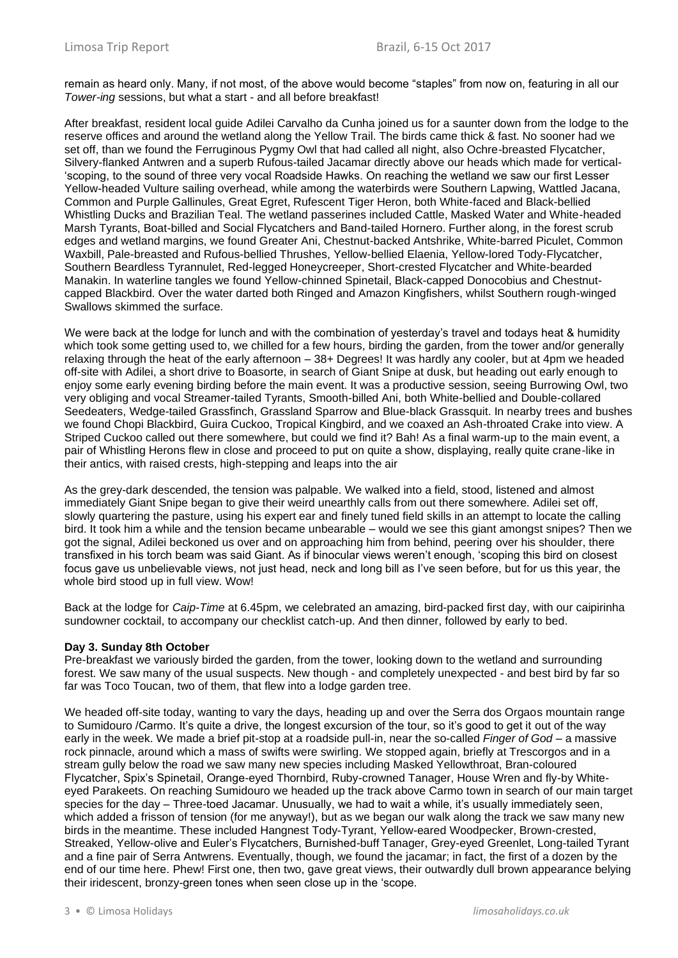remain as heard only. Many, if not most, of the above would become "staples" from now on, featuring in all our *Tower-ing* sessions, but what a start - and all before breakfast!

After breakfast, resident local guide Adilei Carvalho da Cunha joined us for a saunter down from the lodge to the reserve offices and around the wetland along the Yellow Trail. The birds came thick & fast. No sooner had we set off, than we found the Ferruginous Pygmy Owl that had called all night, also Ochre-breasted Flycatcher, Silvery-flanked Antwren and a superb Rufous-tailed Jacamar directly above our heads which made for vertical- 'scoping, to the sound of three very vocal Roadside Hawks. On reaching the wetland we saw our first Lesser Yellow-headed Vulture sailing overhead, while among the waterbirds were Southern Lapwing, Wattled Jacana, Common and Purple Gallinules, Great Egret, Rufescent Tiger Heron, both White-faced and Black-bellied Whistling Ducks and Brazilian Teal. The wetland passerines included Cattle, Masked Water and White-headed Marsh Tyrants, Boat-billed and Social Flycatchers and Band-tailed Hornero. Further along, in the forest scrub edges and wetland margins, we found Greater Ani, Chestnut-backed Antshrike, White-barred Piculet, Common Waxbill, Pale-breasted and Rufous-bellied Thrushes, Yellow-bellied Elaenia, Yellow-lored Tody-Flycatcher, Southern Beardless Tyrannulet, Red-legged Honeycreeper, Short-crested Flycatcher and White-bearded Manakin. In waterline tangles we found Yellow-chinned Spinetail, Black-capped Donocobius and Chestnutcapped Blackbird. Over the water darted both Ringed and Amazon Kingfishers, whilst Southern rough-winged Swallows skimmed the surface.

We were back at the lodge for lunch and with the combination of yesterday's travel and todays heat & humidity which took some getting used to, we chilled for a few hours, birding the garden, from the tower and/or generally relaxing through the heat of the early afternoon – 38+ Degrees! It was hardly any cooler, but at 4pm we headed off-site with Adilei, a short drive to Boasorte, in search of Giant Snipe at dusk, but heading out early enough to enjoy some early evening birding before the main event. It was a productive session, seeing Burrowing Owl, two very obliging and vocal Streamer-tailed Tyrants, Smooth-billed Ani, both White-bellied and Double-collared Seedeaters, Wedge-tailed Grassfinch, Grassland Sparrow and Blue-black Grassquit. In nearby trees and bushes we found Chopi Blackbird, Guira Cuckoo, Tropical Kingbird, and we coaxed an Ash-throated Crake into view. A Striped Cuckoo called out there somewhere, but could we find it? Bah! As a final warm-up to the main event, a pair of Whistling Herons flew in close and proceed to put on quite a show, displaying, really quite crane-like in their antics, with raised crests, high-stepping and leaps into the air

As the grey-dark descended, the tension was palpable. We walked into a field, stood, listened and almost immediately Giant Snipe began to give their weird unearthly calls from out there somewhere. Adilei set off, slowly quartering the pasture, using his expert ear and finely tuned field skills in an attempt to locate the calling bird. It took him a while and the tension became unbearable – would we see this giant amongst snipes? Then we got the signal, Adilei beckoned us over and on approaching him from behind, peering over his shoulder, there transfixed in his torch beam was said Giant. As if binocular views weren't enough, 'scoping this bird on closest focus gave us unbelievable views, not just head, neck and long bill as I've seen before, but for us this year, the whole bird stood up in full view. Wow!

Back at the lodge for *Caip-Time* at 6.45pm, we celebrated an amazing, bird-packed first day, with our caipirinha sundowner cocktail, to accompany our checklist catch-up. And then dinner, followed by early to bed.

## **Day 3. Sunday 8th October**

Pre-breakfast we variously birded the garden, from the tower, looking down to the wetland and surrounding forest. We saw many of the usual suspects. New though - and completely unexpected - and best bird by far so far was Toco Toucan, two of them, that flew into a lodge garden tree.

We headed off-site today, wanting to vary the days, heading up and over the Serra dos Orgaos mountain range to Sumidouro /Carmo. It's quite a drive, the longest excursion of the tour, so it's good to get it out of the way early in the week. We made a brief pit-stop at a roadside pull-in, near the so-called *Finger of God* – a massive rock pinnacle, around which a mass of swifts were swirling. We stopped again, briefly at Trescorgos and in a stream gully below the road we saw many new species including Masked Yellowthroat, Bran-coloured Flycatcher, Spix's Spinetail, Orange-eyed Thornbird, Ruby-crowned Tanager, House Wren and fly-by Whiteeyed Parakeets. On reaching Sumidouro we headed up the track above Carmo town in search of our main target species for the day – Three-toed Jacamar. Unusually, we had to wait a while, it's usually immediately seen, which added a frisson of tension (for me anyway!), but as we began our walk along the track we saw many new birds in the meantime. These included Hangnest Tody-Tyrant, Yellow-eared Woodpecker, Brown-crested, Streaked, Yellow-olive and Euler's Flycatchers, Burnished-buff Tanager, Grey-eyed Greenlet, Long-tailed Tyrant and a fine pair of Serra Antwrens. Eventually, though, we found the jacamar; in fact, the first of a dozen by the end of our time here. Phew! First one, then two, gave great views, their outwardly dull brown appearance belying their iridescent, bronzy-green tones when seen close up in the 'scope.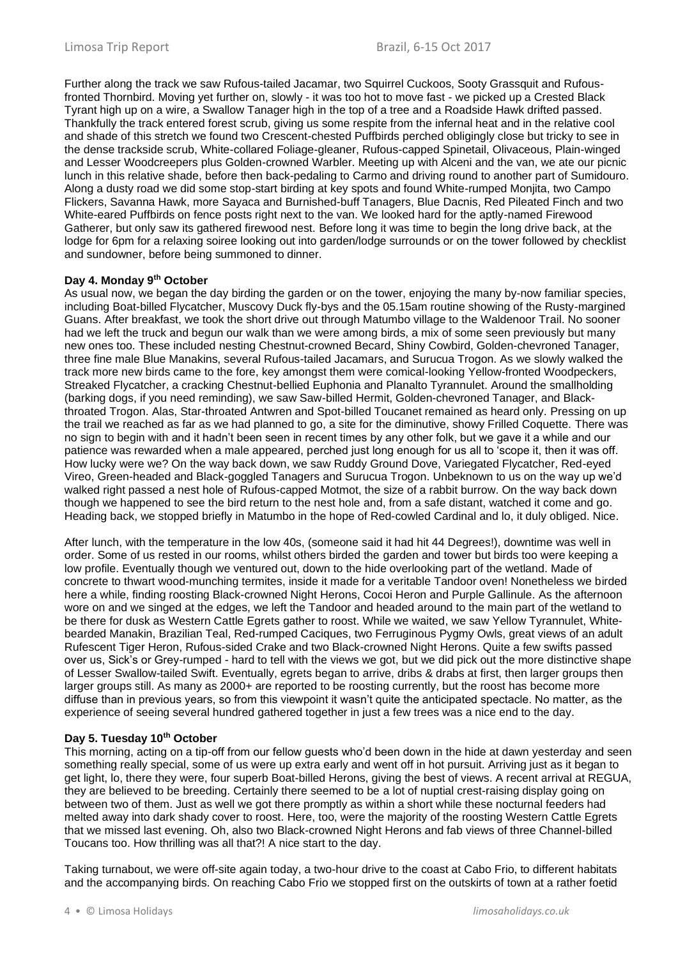Further along the track we saw Rufous-tailed Jacamar, two Squirrel Cuckoos, Sooty Grassquit and Rufousfronted Thornbird. Moving yet further on, slowly - it was too hot to move fast - we picked up a Crested Black Tyrant high up on a wire, a Swallow Tanager high in the top of a tree and a Roadside Hawk drifted passed. Thankfully the track entered forest scrub, giving us some respite from the infernal heat and in the relative cool and shade of this stretch we found two Crescent-chested Puffbirds perched obligingly close but tricky to see in the dense trackside scrub, White-collared Foliage-gleaner, Rufous-capped Spinetail, Olivaceous, Plain-winged and Lesser Woodcreepers plus Golden-crowned Warbler. Meeting up with Alceni and the van, we ate our picnic lunch in this relative shade, before then back-pedaling to Carmo and driving round to another part of Sumidouro. Along a dusty road we did some stop-start birding at key spots and found White-rumped Monjita, two Campo Flickers, Savanna Hawk, more Sayaca and Burnished-buff Tanagers, Blue Dacnis, Red Pileated Finch and two White-eared Puffbirds on fence posts right next to the van. We looked hard for the aptly-named Firewood Gatherer, but only saw its gathered firewood nest. Before long it was time to begin the long drive back, at the lodge for 6pm for a relaxing soiree looking out into garden/lodge surrounds or on the tower followed by checklist and sundowner, before being summoned to dinner.

## **Day 4. Monday 9th October**

As usual now, we began the day birding the garden or on the tower, enjoying the many by-now familiar species, including Boat-billed Flycatcher, Muscovy Duck fly-bys and the 05.15am routine showing of the Rusty-margined Guans. After breakfast, we took the short drive out through Matumbo village to the Waldenoor Trail. No sooner had we left the truck and begun our walk than we were among birds, a mix of some seen previously but many new ones too. These included nesting Chestnut-crowned Becard, Shiny Cowbird, Golden-chevroned Tanager, three fine male Blue Manakins, several Rufous-tailed Jacamars, and Surucua Trogon. As we slowly walked the track more new birds came to the fore, key amongst them were comical-looking Yellow-fronted Woodpeckers, Streaked Flycatcher, a cracking Chestnut-bellied Euphonia and Planalto Tyrannulet. Around the smallholding (barking dogs, if you need reminding), we saw Saw-billed Hermit, Golden-chevroned Tanager, and Blackthroated Trogon. Alas, Star-throated Antwren and Spot-billed Toucanet remained as heard only. Pressing on up the trail we reached as far as we had planned to go, a site for the diminutive, showy Frilled Coquette. There was no sign to begin with and it hadn't been seen in recent times by any other folk, but we gave it a while and our patience was rewarded when a male appeared, perched just long enough for us all to 'scope it, then it was off. How lucky were we? On the way back down, we saw Ruddy Ground Dove, Variegated Flycatcher, Red-eyed Vireo, Green-headed and Black-goggled Tanagers and Surucua Trogon. Unbeknown to us on the way up we'd walked right passed a nest hole of Rufous-capped Motmot, the size of a rabbit burrow. On the way back down though we happened to see the bird return to the nest hole and, from a safe distant, watched it come and go. Heading back, we stopped briefly in Matumbo in the hope of Red-cowled Cardinal and lo, it duly obliged. Nice.

After lunch, with the temperature in the low 40s, (someone said it had hit 44 Degrees!), downtime was well in order. Some of us rested in our rooms, whilst others birded the garden and tower but birds too were keeping a low profile. Eventually though we ventured out, down to the hide overlooking part of the wetland. Made of concrete to thwart wood-munching termites, inside it made for a veritable Tandoor oven! Nonetheless we birded here a while, finding roosting Black-crowned Night Herons, Cocoi Heron and Purple Gallinule. As the afternoon wore on and we singed at the edges, we left the Tandoor and headed around to the main part of the wetland to be there for dusk as Western Cattle Egrets gather to roost. While we waited, we saw Yellow Tyrannulet, Whitebearded Manakin, Brazilian Teal, Red-rumped Caciques, two Ferruginous Pygmy Owls, great views of an adult Rufescent Tiger Heron, Rufous-sided Crake and two Black-crowned Night Herons. Quite a few swifts passed over us, Sick's or Grey-rumped - hard to tell with the views we got, but we did pick out the more distinctive shape of Lesser Swallow-tailed Swift. Eventually, egrets began to arrive, dribs & drabs at first, then larger groups then larger groups still. As many as 2000+ are reported to be roosting currently, but the roost has become more diffuse than in previous years, so from this viewpoint it wasn't quite the anticipated spectacle. No matter, as the experience of seeing several hundred gathered together in just a few trees was a nice end to the day.

#### **Day 5. Tuesday 10th October**

This morning, acting on a tip-off from our fellow guests who'd been down in the hide at dawn yesterday and seen something really special, some of us were up extra early and went off in hot pursuit. Arriving just as it began to get light, lo, there they were, four superb Boat-billed Herons, giving the best of views. A recent arrival at REGUA, they are believed to be breeding. Certainly there seemed to be a lot of nuptial crest-raising display going on between two of them. Just as well we got there promptly as within a short while these nocturnal feeders had melted away into dark shady cover to roost. Here, too, were the majority of the roosting Western Cattle Egrets that we missed last evening. Oh, also two Black-crowned Night Herons and fab views of three Channel-billed Toucans too. How thrilling was all that?! A nice start to the day.

Taking turnabout, we were off-site again today, a two-hour drive to the coast at Cabo Frio, to different habitats and the accompanying birds. On reaching Cabo Frio we stopped first on the outskirts of town at a rather foetid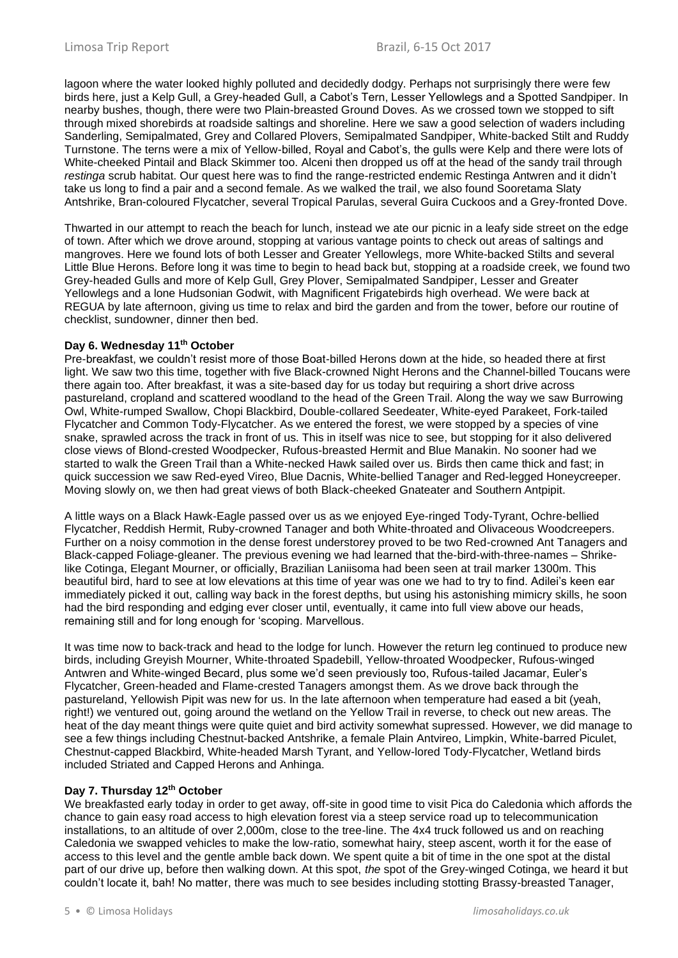lagoon where the water looked highly polluted and decidedly dodgy. Perhaps not surprisingly there were few birds here, just a Kelp Gull, a Grey-headed Gull, a Cabot's Tern, Lesser Yellowlegs and a Spotted Sandpiper. In nearby bushes, though, there were two Plain-breasted Ground Doves. As we crossed town we stopped to sift through mixed shorebirds at roadside saltings and shoreline. Here we saw a good selection of waders including Sanderling, Semipalmated, Grey and Collared Plovers, Semipalmated Sandpiper, White-backed Stilt and Ruddy Turnstone. The terns were a mix of Yellow-billed, Royal and Cabot's, the gulls were Kelp and there were lots of White-cheeked Pintail and Black Skimmer too. Alceni then dropped us off at the head of the sandy trail through *restinga* scrub habitat. Our quest here was to find the range-restricted endemic Restinga Antwren and it didn't take us long to find a pair and a second female. As we walked the trail, we also found Sooretama Slaty Antshrike, Bran-coloured Flycatcher, several Tropical Parulas, several Guira Cuckoos and a Grey-fronted Dove.

Thwarted in our attempt to reach the beach for lunch, instead we ate our picnic in a leafy side street on the edge of town. After which we drove around, stopping at various vantage points to check out areas of saltings and mangroves. Here we found lots of both Lesser and Greater Yellowlegs, more White-backed Stilts and several Little Blue Herons. Before long it was time to begin to head back but, stopping at a roadside creek, we found two Grey-headed Gulls and more of Kelp Gull, Grey Plover, Semipalmated Sandpiper, Lesser and Greater Yellowlegs and a lone Hudsonian Godwit, with Magnificent Frigatebirds high overhead. We were back at REGUA by late afternoon, giving us time to relax and bird the garden and from the tower, before our routine of checklist, sundowner, dinner then bed.

## **Day 6. Wednesday 11th October**

Pre-breakfast, we couldn't resist more of those Boat-billed Herons down at the hide, so headed there at first light. We saw two this time, together with five Black-crowned Night Herons and the Channel-billed Toucans were there again too. After breakfast, it was a site-based day for us today but requiring a short drive across pastureland, cropland and scattered woodland to the head of the Green Trail. Along the way we saw Burrowing Owl, White-rumped Swallow, Chopi Blackbird, Double-collared Seedeater, White-eyed Parakeet, Fork-tailed Flycatcher and Common Tody-Flycatcher. As we entered the forest, we were stopped by a species of vine snake, sprawled across the track in front of us. This in itself was nice to see, but stopping for it also delivered close views of Blond-crested Woodpecker, Rufous-breasted Hermit and Blue Manakin. No sooner had we started to walk the Green Trail than a White-necked Hawk sailed over us. Birds then came thick and fast; in quick succession we saw Red-eyed Vireo, Blue Dacnis, White-bellied Tanager and Red-legged Honeycreeper. Moving slowly on, we then had great views of both Black-cheeked Gnateater and Southern Antpipit.

A little ways on a Black Hawk-Eagle passed over us as we enjoyed Eye-ringed Tody-Tyrant, Ochre-bellied Flycatcher, Reddish Hermit, Ruby-crowned Tanager and both White-throated and Olivaceous Woodcreepers. Further on a noisy commotion in the dense forest understorey proved to be two Red-crowned Ant Tanagers and Black-capped Foliage-gleaner. The previous evening we had learned that the-bird-with-three-names – Shrikelike Cotinga, Elegant Mourner, or officially, Brazilian Laniisoma had been seen at trail marker 1300m. This beautiful bird, hard to see at low elevations at this time of year was one we had to try to find. Adilei's keen ear immediately picked it out, calling way back in the forest depths, but using his astonishing mimicry skills, he soon had the bird responding and edging ever closer until, eventually, it came into full view above our heads, remaining still and for long enough for 'scoping. Marvellous.

It was time now to back-track and head to the lodge for lunch. However the return leg continued to produce new birds, including Greyish Mourner, White-throated Spadebill, Yellow-throated Woodpecker, Rufous-winged Antwren and White-winged Becard, plus some we'd seen previously too, Rufous-tailed Jacamar, Euler's Flycatcher, Green-headed and Flame-crested Tanagers amongst them. As we drove back through the pastureland, Yellowish Pipit was new for us. In the late afternoon when temperature had eased a bit (yeah, right!) we ventured out, going around the wetland on the Yellow Trail in reverse, to check out new areas. The heat of the day meant things were quite quiet and bird activity somewhat supressed. However, we did manage to see a few things including Chestnut-backed Antshrike, a female Plain Antvireo, Limpkin, White-barred Piculet, Chestnut-capped Blackbird, White-headed Marsh Tyrant, and Yellow-lored Tody-Flycatcher, Wetland birds included Striated and Capped Herons and Anhinga.

## **Day 7. Thursday 12th October**

We breakfasted early today in order to get away, off-site in good time to visit Pica do Caledonia which affords the chance to gain easy road access to high elevation forest via a steep service road up to telecommunication installations, to an altitude of over 2,000m, close to the tree-line. The 4x4 truck followed us and on reaching Caledonia we swapped vehicles to make the low-ratio, somewhat hairy, steep ascent, worth it for the ease of access to this level and the gentle amble back down. We spent quite a bit of time in the one spot at the distal part of our drive up, before then walking down. At this spot, *the* spot of the Grey-winged Cotinga, we heard it but couldn't locate it, bah! No matter, there was much to see besides including stotting Brassy-breasted Tanager,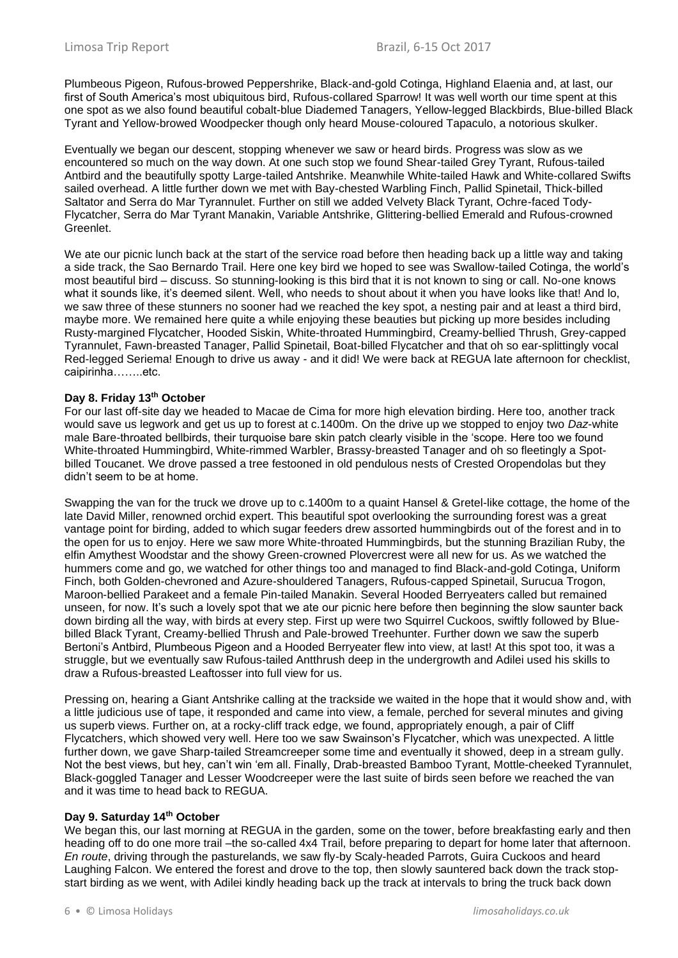Plumbeous Pigeon, Rufous-browed Peppershrike, Black-and-gold Cotinga, Highland Elaenia and, at last, our first of South America's most ubiquitous bird, Rufous-collared Sparrow! It was well worth our time spent at this one spot as we also found beautiful cobalt-blue Diademed Tanagers, Yellow-legged Blackbirds, Blue-billed Black Tyrant and Yellow-browed Woodpecker though only heard Mouse-coloured Tapaculo, a notorious skulker.

Eventually we began our descent, stopping whenever we saw or heard birds. Progress was slow as we encountered so much on the way down. At one such stop we found Shear-tailed Grey Tyrant, Rufous-tailed Antbird and the beautifully spotty Large-tailed Antshrike. Meanwhile White-tailed Hawk and White-collared Swifts sailed overhead. A little further down we met with Bay-chested Warbling Finch, Pallid Spinetail, Thick-billed Saltator and Serra do Mar Tyrannulet. Further on still we added Velvety Black Tyrant, Ochre-faced Tody-Flycatcher, Serra do Mar Tyrant Manakin, Variable Antshrike, Glittering-bellied Emerald and Rufous-crowned Greenlet.

We ate our picnic lunch back at the start of the service road before then heading back up a little way and taking a side track, the Sao Bernardo Trail. Here one key bird we hoped to see was Swallow-tailed Cotinga, the world's most beautiful bird – discuss. So stunning-looking is this bird that it is not known to sing or call. No-one knows what it sounds like, it's deemed silent. Well, who needs to shout about it when you have looks like that! And lo, we saw three of these stunners no sooner had we reached the key spot, a nesting pair and at least a third bird, maybe more. We remained here quite a while enjoying these beauties but picking up more besides including Rusty-margined Flycatcher, Hooded Siskin, White-throated Hummingbird, Creamy-bellied Thrush, Grey-capped Tyrannulet, Fawn-breasted Tanager, Pallid Spinetail, Boat-billed Flycatcher and that oh so ear-splittingly vocal Red-legged Seriema! Enough to drive us away - and it did! We were back at REGUA late afternoon for checklist, caipirinha……..etc.

## **Day 8. Friday 13th October**

For our last off-site day we headed to Macae de Cima for more high elevation birding. Here too, another track would save us legwork and get us up to forest at c.1400m. On the drive up we stopped to enjoy two *Daz*-white male Bare-throated bellbirds, their turquoise bare skin patch clearly visible in the 'scope. Here too we found White-throated Hummingbird, White-rimmed Warbler, Brassy-breasted Tanager and oh so fleetingly a Spotbilled Toucanet. We drove passed a tree festooned in old pendulous nests of Crested Oropendolas but they didn't seem to be at home.

Swapping the van for the truck we drove up to c.1400m to a quaint Hansel & Gretel-like cottage, the home of the late David Miller, renowned orchid expert. This beautiful spot overlooking the surrounding forest was a great vantage point for birding, added to which sugar feeders drew assorted hummingbirds out of the forest and in to the open for us to enjoy. Here we saw more White-throated Hummingbirds, but the stunning Brazilian Ruby, the elfin Amythest Woodstar and the showy Green-crowned Plovercrest were all new for us. As we watched the hummers come and go, we watched for other things too and managed to find Black-and-gold Cotinga, Uniform Finch, both Golden-chevroned and Azure-shouldered Tanagers, Rufous-capped Spinetail, Surucua Trogon, Maroon-bellied Parakeet and a female Pin-tailed Manakin. Several Hooded Berryeaters called but remained unseen, for now. It's such a lovely spot that we ate our picnic here before then beginning the slow saunter back down birding all the way, with birds at every step. First up were two Squirrel Cuckoos, swiftly followed by Bluebilled Black Tyrant, Creamy-bellied Thrush and Pale-browed Treehunter. Further down we saw the superb Bertoni's Antbird, Plumbeous Pigeon and a Hooded Berryeater flew into view, at last! At this spot too, it was a struggle, but we eventually saw Rufous-tailed Antthrush deep in the undergrowth and Adilei used his skills to draw a Rufous-breasted Leaftosser into full view for us.

Pressing on, hearing a Giant Antshrike calling at the trackside we waited in the hope that it would show and, with a little judicious use of tape, it responded and came into view, a female, perched for several minutes and giving us superb views. Further on, at a rocky-cliff track edge, we found, appropriately enough, a pair of Cliff Flycatchers, which showed very well. Here too we saw Swainson's Flycatcher, which was unexpected. A little further down, we gave Sharp-tailed Streamcreeper some time and eventually it showed, deep in a stream gully. Not the best views, but hey, can't win 'em all. Finally, Drab-breasted Bamboo Tyrant, Mottle-cheeked Tyrannulet, Black-goggled Tanager and Lesser Woodcreeper were the last suite of birds seen before we reached the van and it was time to head back to REGUA.

## **Day 9. Saturday 14th October**

We began this, our last morning at REGUA in the garden, some on the tower, before breakfasting early and then heading off to do one more trail –the so-called 4x4 Trail, before preparing to depart for home later that afternoon. *En route*, driving through the pasturelands, we saw fly-by Scaly-headed Parrots, Guira Cuckoos and heard Laughing Falcon. We entered the forest and drove to the top, then slowly sauntered back down the track stopstart birding as we went, with Adilei kindly heading back up the track at intervals to bring the truck back down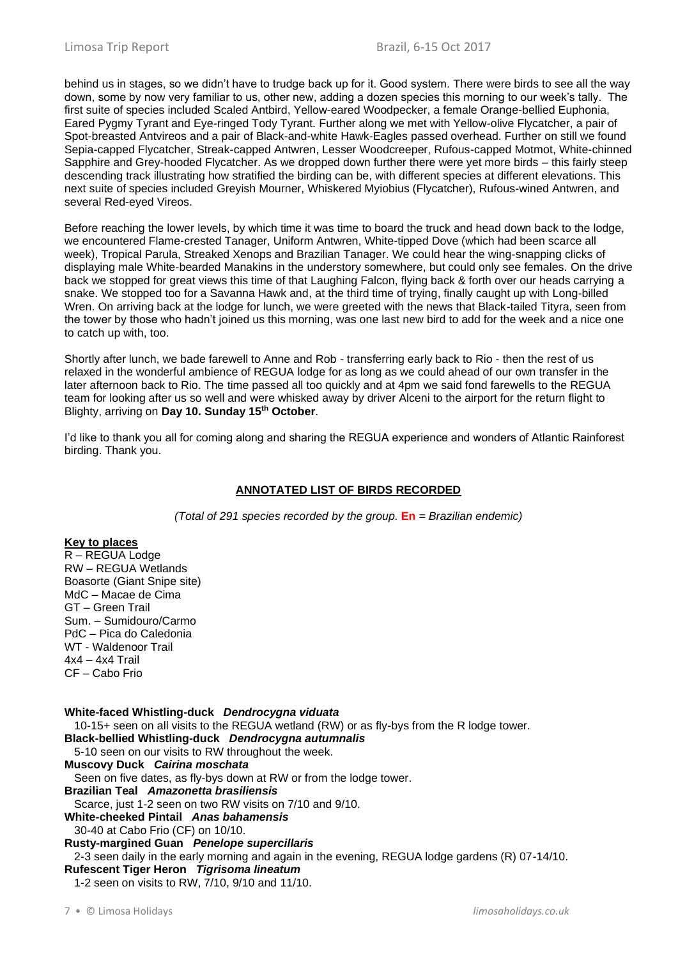behind us in stages, so we didn't have to trudge back up for it. Good system. There were birds to see all the way down, some by now very familiar to us, other new, adding a dozen species this morning to our week's tally. The first suite of species included Scaled Antbird, Yellow-eared Woodpecker, a female Orange-bellied Euphonia, Eared Pygmy Tyrant and Eye-ringed Tody Tyrant. Further along we met with Yellow-olive Flycatcher, a pair of Spot-breasted Antvireos and a pair of Black-and-white Hawk-Eagles passed overhead. Further on still we found Sepia-capped Flycatcher, Streak-capped Antwren, Lesser Woodcreeper, Rufous-capped Motmot, White-chinned Sapphire and Grey-hooded Flycatcher. As we dropped down further there were yet more birds – this fairly steep descending track illustrating how stratified the birding can be, with different species at different elevations. This next suite of species included Greyish Mourner, Whiskered Myiobius (Flycatcher), Rufous-wined Antwren, and several Red-eyed Vireos.

Before reaching the lower levels, by which time it was time to board the truck and head down back to the lodge, we encountered Flame-crested Tanager, Uniform Antwren, White-tipped Dove (which had been scarce all week), Tropical Parula, Streaked Xenops and Brazilian Tanager. We could hear the wing-snapping clicks of displaying male White-bearded Manakins in the understory somewhere, but could only see females. On the drive back we stopped for great views this time of that Laughing Falcon, flying back & forth over our heads carrying a snake. We stopped too for a Savanna Hawk and, at the third time of trying, finally caught up with Long-billed Wren. On arriving back at the lodge for lunch, we were greeted with the news that Black-tailed Tityra, seen from the tower by those who hadn't joined us this morning, was one last new bird to add for the week and a nice one to catch up with, too.

Shortly after lunch, we bade farewell to Anne and Rob - transferring early back to Rio - then the rest of us relaxed in the wonderful ambience of REGUA lodge for as long as we could ahead of our own transfer in the later afternoon back to Rio. The time passed all too quickly and at 4pm we said fond farewells to the REGUA team for looking after us so well and were whisked away by driver Alceni to the airport for the return flight to Blighty, arriving on **Day 10. Sunday 15th October**.

I'd like to thank you all for coming along and sharing the REGUA experience and wonders of Atlantic Rainforest birding. Thank you.

## **ANNOTATED LIST OF BIRDS RECORDED**

*(Total of 291 species recorded by the group.* **En** *= Brazilian endemic)*

## **Key to places**

R – REGUA Lodge RW – REGUA Wetlands Boasorte (Giant Snipe site) MdC – Macae de Cima GT – Green Trail Sum. – Sumidouro/Carmo PdC – Pica do Caledonia WT - Waldenoor Trail 4x4 – 4x4 Trail CF – Cabo Frio

**White-faced Whistling-duck** *Dendrocygna viduata* 10-15+ seen on all visits to the REGUA wetland (RW) or as fly-bys from the R lodge tower. **Black-bellied Whistling-duck** *Dendrocygna autumnalis* 5-10 seen on our visits to RW throughout the week. **Muscovy Duck** *Cairina moschata* Seen on five dates, as fly-bys down at RW or from the lodge tower. **Brazilian Teal** *Amazonetta brasiliensis* Scarce, just 1-2 seen on two RW visits on 7/10 and 9/10. **White-cheeked Pintail** *Anas bahamensis* 30-40 at Cabo Frio (CF) on 10/10. **Rusty-margined Guan** *Penelope supercillaris* 2-3 seen daily in the early morning and again in the evening, REGUA lodge gardens (R) 07-14/10. **Rufescent Tiger Heron** *Tigrisoma lineatum* 1-2 seen on visits to RW, 7/10, 9/10 and 11/10.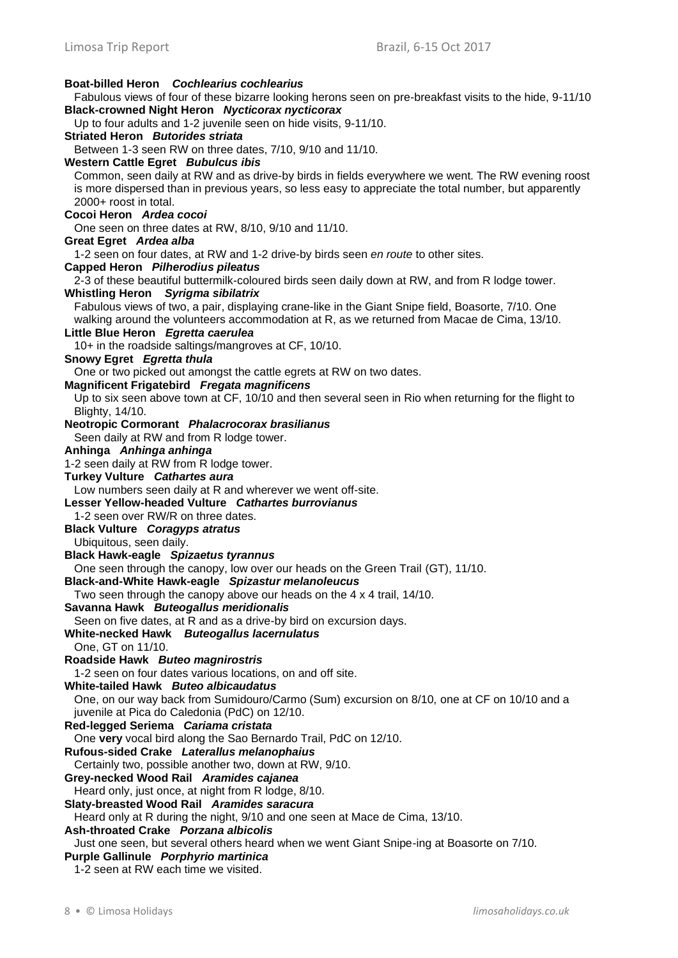### **Boat-billed Heron** *Cochlearius cochlearius* Fabulous views of four of these bizarre looking herons seen on pre-breakfast visits to the hide, 9-11/10 **Black-crowned Night Heron** *Nycticorax nycticorax* Up to four adults and 1-2 juvenile seen on hide visits, 9-11/10. **Striated Heron** *Butorides striata* Between 1-3 seen RW on three dates, 7/10, 9/10 and 11/10. **Western Cattle Egret** *Bubulcus ibis* Common, seen daily at RW and as drive-by birds in fields everywhere we went. The RW evening roost is more dispersed than in previous years, so less easy to appreciate the total number, but apparently 2000+ roost in total. **Cocoi Heron** *Ardea cocoi* One seen on three dates at RW, 8/10, 9/10 and 11/10. **Great Egret** *Ardea alba* 1-2 seen on four dates, at RW and 1-2 drive-by birds seen *en route* to other sites. **Capped Heron** *Pilherodius pileatus* 2-3 of these beautiful buttermilk-coloured birds seen daily down at RW, and from R lodge tower. **Whistling Heron** *Syrigma sibilatrix* Fabulous views of two, a pair, displaying crane-like in the Giant Snipe field, Boasorte, 7/10. One walking around the volunteers accommodation at R, as we returned from Macae de Cima, 13/10. **Little Blue Heron** *Egretta caerulea* 10+ in the roadside saltings/mangroves at CF, 10/10. **Snowy Egret** *Egretta thula* One or two picked out amongst the cattle egrets at RW on two dates. **Magnificent Frigatebird** *Fregata magnificens* Up to six seen above town at CF, 10/10 and then several seen in Rio when returning for the flight to Blighty, 14/10. **Neotropic Cormorant** *Phalacrocorax brasilianus* Seen daily at RW and from R lodge tower. **Anhinga** *Anhinga anhinga* 1-2 seen daily at RW from R lodge tower. **Turkey Vulture** *Cathartes aura* Low numbers seen daily at R and wherever we went off-site. **Lesser Yellow-headed Vulture** *Cathartes burrovianus* 1-2 seen over RW/R on three dates. **Black Vulture** *Coragyps atratus* Ubiquitous, seen daily. **Black Hawk-eagle** *Spizaetus tyrannus* One seen through the canopy, low over our heads on the Green Trail (GT), 11/10. **Black-and-White Hawk-eagle** *Spizastur melanoleucus* Two seen through the canopy above our heads on the 4 x 4 trail, 14/10. **Savanna Hawk** *Buteogallus meridionalis* Seen on five dates, at R and as a drive-by bird on excursion days. **White-necked Hawk** *Buteogallus lacernulatus* One, GT on 11/10. **Roadside Hawk** *Buteo magnirostris* 1-2 seen on four dates various locations, on and off site. **White-tailed Hawk** *Buteo albicaudatus* One, on our way back from Sumidouro/Carmo (Sum) excursion on 8/10, one at CF on 10/10 and a juvenile at Pica do Caledonia (PdC) on 12/10. **Red-legged Seriema** *Cariama cristata* One **very** vocal bird along the Sao Bernardo Trail, PdC on 12/10. **Rufous-sided Crake** *Laterallus melanophaius* Certainly two, possible another two, down at RW, 9/10. **Grey-necked Wood Rail** *Aramides cajanea* Heard only, just once, at night from R lodge, 8/10. **Slaty-breasted Wood Rail** *Aramides saracura* Heard only at R during the night, 9/10 and one seen at Mace de Cima, 13/10. **Ash-throated Crake** *Porzana albicolis* Just one seen, but several others heard when we went Giant Snipe-ing at Boasorte on 7/10. **Purple Gallinule** *Porphyrio martinica* 1-2 seen at RW each time we visited.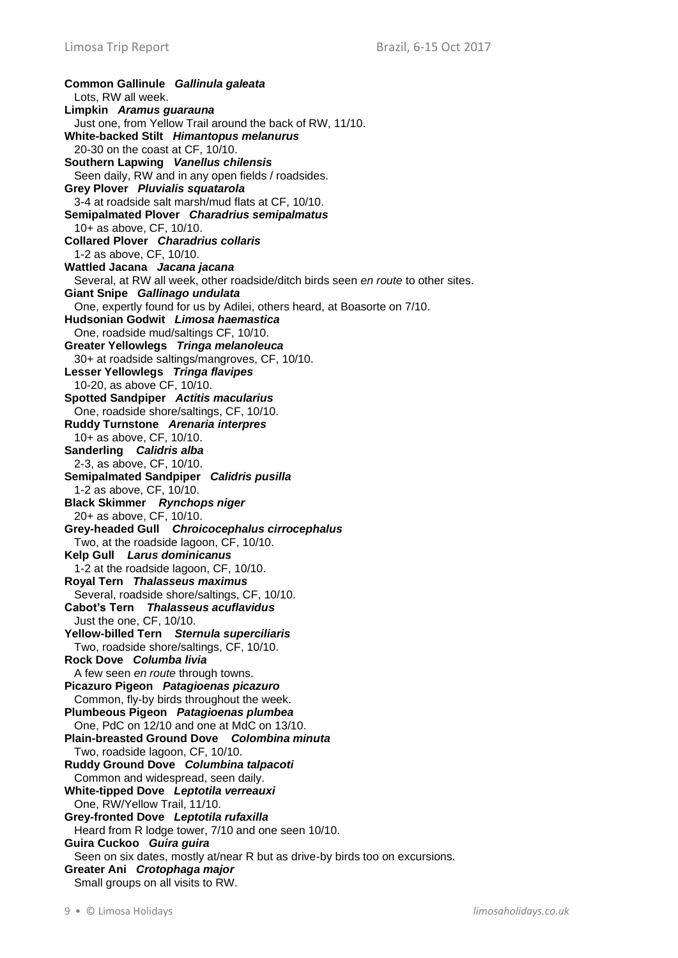**Common Gallinule** *Gallinula galeata* Lots, RW all week. **Limpkin** *Aramus guarauna* Just one, from Yellow Trail around the back of RW, 11/10. **White-backed Stilt** *Himantopus melanurus* 20-30 on the coast at CF, 10/10. **Southern Lapwing** *Vanellus chilensis* Seen daily, RW and in any open fields / roadsides. **Grey Plover** *Pluvialis squatarola* 3-4 at roadside salt marsh/mud flats at CF, 10/10. **Semipalmated Plover** *Charadrius semipalmatus* 10+ as above, CF, 10/10. **Collared Plover** *Charadrius collaris* 1-2 as above, CF, 10/10. **Wattled Jacana** *Jacana jacana* Several, at RW all week, other roadside/ditch birds seen *en route* to other sites. **Giant Snipe** *Gallinago undulata* One, expertly found for us by Adilei, others heard, at Boasorte on 7/10. **Hudsonian Godwit** *Limosa haemastica* One, roadside mud/saltings CF, 10/10. **Greater Yellowlegs** *Tringa melanoleuca* 30+ at roadside saltings/mangroves, CF, 10/10. **Lesser Yellowlegs** *Tringa flavipes* 10-20, as above CF, 10/10. **Spotted Sandpiper** *Actitis macularius* One, roadside shore/saltings, CF, 10/10. **Ruddy Turnstone** *Arenaria interpres* 10+ as above, CF, 10/10. **Sanderling** *Calidris alba* 2-3, as above, CF, 10/10. **Semipalmated Sandpiper** *Calidris pusilla* 1-2 as above, CF, 10/10. **Black Skimmer** *Rynchops niger* 20+ as above, CF, 10/10. **Grey-headed Gull** *Chroicocephalus cirrocephalus* Two, at the roadside lagoon, CF, 10/10. **Kelp Gull** *Larus dominicanus* 1-2 at the roadside lagoon, CF, 10/10. **Royal Tern** *Thalasseus maximus* Several, roadside shore/saltings, CF, 10/10. **Cabot's Tern** *Thalasseus acuflavidus* Just the one, CF, 10/10. **Yellow-billed Tern** *Sternula superciliaris* Two, roadside shore/saltings, CF, 10/10. **Rock Dove** *Columba livia* A few seen *en route* through towns. **Picazuro Pigeon** *Patagioenas picazuro* Common, fly-by birds throughout the week. **Plumbeous Pigeon** *Patagioenas plumbea* One, PdC on 12/10 and one at MdC on 13/10. **Plain-breasted Ground Dove** *Colombina minuta* Two, roadside lagoon, CF, 10/10. **Ruddy Ground Dove** *Columbina talpacoti* Common and widespread, seen daily. **White-tipped Dove** *Leptotila verreauxi* One, RW/Yellow Trail, 11/10. **Grey-fronted Dove** *Leptotila rufaxilla* Heard from R lodge tower, 7/10 and one seen 10/10. **Guira Cuckoo** *Guira guira* Seen on six dates, mostly at/near R but as drive-by birds too on excursions. **Greater Ani** *Crotophaga major* Small groups on all visits to RW.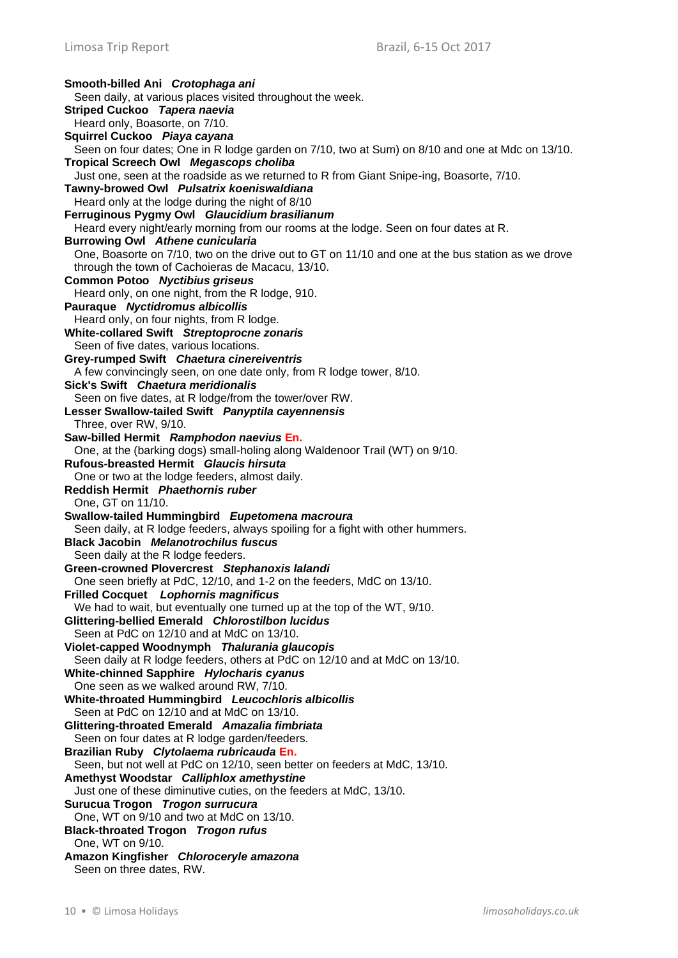**Smooth-billed Ani** *Crotophaga ani* Seen daily, at various places visited throughout the week. **Striped Cuckoo** *Tapera naevia* Heard only, Boasorte, on 7/10. **Squirrel Cuckoo** *Piaya cayana* Seen on four dates; One in R lodge garden on 7/10, two at Sum) on 8/10 and one at Mdc on 13/10. **Tropical Screech Owl** *Megascops choliba* Just one, seen at the roadside as we returned to R from Giant Snipe-ing, Boasorte, 7/10. **Tawny-browed Owl** *Pulsatrix koeniswaldiana* Heard only at the lodge during the night of 8/10 **Ferruginous Pygmy Owl** *Glaucidium brasilianum* Heard every night/early morning from our rooms at the lodge. Seen on four dates at R. **Burrowing Owl** *Athene cunicularia* One, Boasorte on 7/10, two on the drive out to GT on 11/10 and one at the bus station as we drove through the town of Cachoieras de Macacu, 13/10. **Common Potoo** *Nyctibius griseus* Heard only, on one night, from the R lodge, 910. **Pauraque** *Nyctidromus albicollis* Heard only, on four nights, from R lodge. **White-collared Swift** *Streptoprocne zonaris* Seen of five dates, various locations. **Grey-rumped Swift** *Chaetura cinereiventris* A few convincingly seen, on one date only, from R lodge tower, 8/10. **Sick's Swift** *Chaetura meridionalis* Seen on five dates, at R lodge/from the tower/over RW. **Lesser Swallow-tailed Swift** *Panyptila cayennensis* Three, over RW, 9/10. **Saw-billed Hermit** *Ramphodon naevius* **En.** One, at the (barking dogs) small-holing along Waldenoor Trail (WT) on 9/10. **Rufous-breasted Hermit** *Glaucis hirsuta* One or two at the lodge feeders, almost daily. **Reddish Hermit** *Phaethornis ruber* One, GT on 11/10. **Swallow-tailed Hummingbird** *Eupetomena macroura* Seen daily, at R lodge feeders, always spoiling for a fight with other hummers. **Black Jacobin** *Melanotrochilus fuscus* Seen daily at the R lodge feeders. **Green-crowned Plovercrest** *Stephanoxis lalandi* One seen briefly at PdC, 12/10, and 1-2 on the feeders, MdC on 13/10. **Frilled Cocquet** *Lophornis magnificus* We had to wait, but eventually one turned up at the top of the WT, 9/10. **Glittering-bellied Emerald** *Chlorostilbon lucidus* Seen at PdC on 12/10 and at MdC on 13/10. **Violet-capped Woodnymph** *Thalurania glaucopis* Seen daily at R lodge feeders, others at PdC on 12/10 and at MdC on 13/10. **White-chinned Sapphire** *Hylocharis cyanus* One seen as we walked around RW, 7/10. **White-throated Hummingbird** *Leucochloris albicollis* Seen at PdC on 12/10 and at MdC on 13/10. **Glittering-throated Emerald** *Amazalia fimbriata* Seen on four dates at R lodge garden/feeders. **Brazilian Ruby** *Clytolaema rubricauda* **En.** Seen, but not well at PdC on 12/10, seen better on feeders at MdC, 13/10. **Amethyst Woodstar** *Calliphlox amethystine* Just one of these diminutive cuties, on the feeders at MdC, 13/10. **Surucua Trogon** *Trogon surrucura* One, WT on 9/10 and two at MdC on 13/10. **Black-throated Trogon** *Trogon rufus* One, WT on 9/10. **Amazon Kingfisher** *Chloroceryle amazona* Seen on three dates, RW.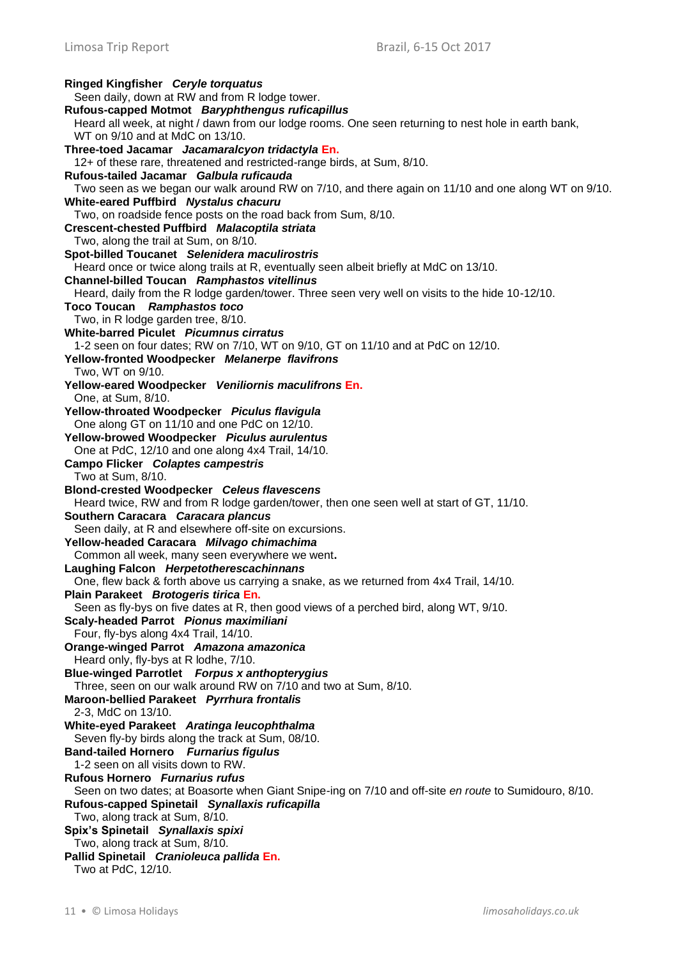**Ringed Kingfisher** *Ceryle torquatus* Seen daily, down at RW and from R lodge tower. **Rufous-capped Motmot** *Baryphthengus ruficapillus* Heard all week, at night / dawn from our lodge rooms. One seen returning to nest hole in earth bank, WT on 9/10 and at MdC on 13/10. **Three-toed Jacamar** *Jacamaralcyon tridactyla* **En.** 12+ of these rare, threatened and restricted-range birds, at Sum, 8/10. **Rufous-tailed Jacamar** *Galbula ruficauda* Two seen as we began our walk around RW on 7/10, and there again on 11/10 and one along WT on 9/10. **White-eared Puffbird** *Nystalus chacuru* Two, on roadside fence posts on the road back from Sum, 8/10. **Crescent-chested Puffbird** *Malacoptila striata* Two, along the trail at Sum, on 8/10. **Spot-billed Toucanet** *Selenidera maculirostris* Heard once or twice along trails at R, eventually seen albeit briefly at MdC on 13/10. **Channel-billed Toucan** *Ramphastos vitellinus* Heard, daily from the R lodge garden/tower. Three seen very well on visits to the hide 10-12/10. **Toco Toucan** *Ramphastos toco* Two, in R lodge garden tree, 8/10. **White-barred Piculet** *Picumnus cirratus* 1-2 seen on four dates; RW on 7/10, WT on 9/10, GT on 11/10 and at PdC on 12/10. **Yellow-fronted Woodpecker** *Melanerpe flavifrons* Two, WT on 9/10. **Yellow-eared Woodpecker** *Veniliornis maculifrons* **En.** One, at Sum, 8/10. **Yellow-throated Woodpecker** *Piculus flavigula* One along GT on 11/10 and one PdC on 12/10. **Yellow-browed Woodpecker** *Piculus aurulentus* One at PdC, 12/10 and one along 4x4 Trail, 14/10. **Campo Flicker** *Colaptes campestris* Two at Sum, 8/10. **Blond-crested Woodpecker** *Celeus flavescens* Heard twice, RW and from R lodge garden/tower, then one seen well at start of GT, 11/10. **Southern Caracara** *Caracara plancus* Seen daily, at R and elsewhere off-site on excursions. **Yellow-headed Caracara** *Milvago chimachima* Common all week, many seen everywhere we went**. Laughing Falcon** *Herpetotherescachinnans* One, flew back & forth above us carrying a snake, as we returned from 4x4 Trail, 14/10. **Plain Parakeet** *Brotogeris tirica* **En.** Seen as fly-bys on five dates at R, then good views of a perched bird, along WT, 9/10. **Scaly-headed Parrot** *Pionus maximiliani* Four, fly-bys along 4x4 Trail, 14/10. **Orange-winged Parrot** *Amazona amazonica* Heard only, fly-bys at R lodhe, 7/10. **Blue-winged Parrotlet** *Forpus x anthopterygius* Three, seen on our walk around RW on 7/10 and two at Sum, 8/10. **Maroon-bellied Parakeet** *Pyrrhura frontalis* 2-3, MdC on 13/10. **White-eyed Parakeet** *Aratinga leucophthalma* Seven fly-by birds along the track at Sum, 08/10. **Band-tailed Hornero** *Furnarius figulus* 1-2 seen on all visits down to RW. **Rufous Hornero** *Furnarius rufus* Seen on two dates; at Boasorte when Giant Snipe-ing on 7/10 and off-site *en route* to Sumidouro, 8/10. **Rufous-capped Spinetail** *Synallaxis ruficapilla* Two, along track at Sum, 8/10. **Spix's Spinetail** *Synallaxis spixi* Two, along track at Sum, 8/10. **Pallid Spinetail** *Cranioleuca pallida* **En.** Two at PdC, 12/10.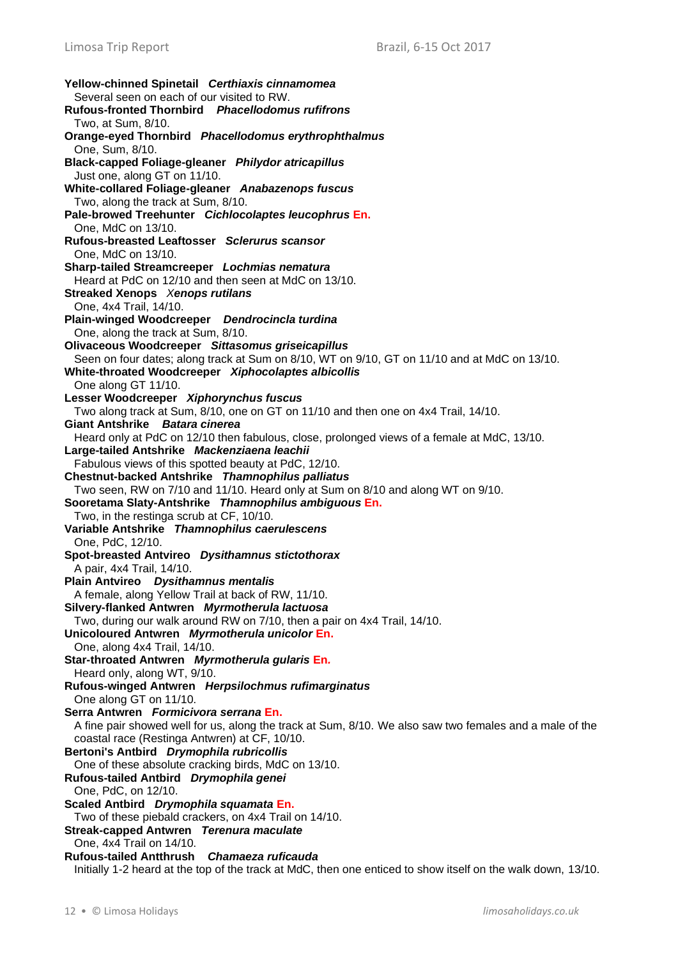**Yellow-chinned Spinetail** *Certhiaxis cinnamomea* Several seen on each of our visited to RW. **Rufous-fronted Thornbird** *Phacellodomus rufifrons* Two, at Sum, 8/10. **Orange-eyed Thornbird** *Phacellodomus erythrophthalmus* One, Sum, 8/10. **Black-capped Foliage-gleaner** *Philydor atricapillus* Just one, along GT on 11/10. **White-collared Foliage-gleaner** *Anabazenops fuscus* Two, along the track at Sum, 8/10. **Pale-browed Treehunter** *Cichlocolaptes leucophrus* **En.** One, MdC on 13/10. **Rufous-breasted Leaftosser** *Sclerurus scansor* One, MdC on 13/10. **Sharp-tailed Streamcreeper** *Lochmias nematura* Heard at PdC on 12/10 and then seen at MdC on 13/10. **Streaked Xenops** *Xenops rutilans* One, 4x4 Trail, 14/10. **Plain-winged Woodcreeper** *Dendrocincla turdina* One, along the track at Sum, 8/10. **Olivaceous Woodcreeper** *Sittasomus griseicapillus* Seen on four dates; along track at Sum on 8/10, WT on 9/10, GT on 11/10 and at MdC on 13/10. **White-throated Woodcreeper** *Xiphocolaptes albicollis* One along GT 11/10. **Lesser Woodcreeper** *Xiphorynchus fuscus* Two along track at Sum, 8/10, one on GT on 11/10 and then one on 4x4 Trail, 14/10. **Giant Antshrike** *Batara cinerea* Heard only at PdC on 12/10 then fabulous, close, prolonged views of a female at MdC, 13/10. **Large-tailed Antshrike** *Mackenziaena leachii* Fabulous views of this spotted beauty at PdC, 12/10. **Chestnut-backed Antshrike** *Thamnophilus palliatus* Two seen, RW on 7/10 and 11/10. Heard only at Sum on 8/10 and along WT on 9/10. **Sooretama Slaty-Antshrike** *Thamnophilus ambiguous* **En.** Two, in the restinga scrub at CF, 10/10. **Variable Antshrike** *Thamnophilus caerulescens* One, PdC, 12/10. **Spot-breasted Antvireo** *Dysithamnus stictothorax* A pair, 4x4 Trail, 14/10. **Plain Antvireo** *Dysithamnus mentalis* A female, along Yellow Trail at back of RW, 11/10. **Silvery-flanked Antwren** *Myrmotherula lactuosa* Two, during our walk around RW on 7/10, then a pair on 4x4 Trail, 14/10. **Unicoloured Antwren** *Myrmotherula unicolor* **En.** One, along 4x4 Trail, 14/10. **Star-throated Antwren** *Myrmotherula gularis* **En***.* Heard only, along WT, 9/10. **Rufous-winged Antwren** *Herpsilochmus rufimarginatus* One along GT on 11/10. **Serra Antwren** *Formicivora serrana* **En.** A fine pair showed well for us, along the track at Sum, 8/10. We also saw two females and a male of the coastal race (Restinga Antwren) at CF, 10/10. **Bertoni's Antbird** *Drymophila rubricollis* One of these absolute cracking birds, MdC on 13/10. **Rufous-tailed Antbird** *Drymophila genei* One, PdC, on 12/10. **Scaled Antbird** *Drymophila squamata* **En.** Two of these piebald crackers, on 4x4 Trail on 14/10. **Streak-capped Antwren** *Terenura maculate* One, 4x4 Trail on 14/10. **Rufous-tailed Antthrush** *Chamaeza ruficauda* Initially 1-2 heard at the top of the track at MdC, then one enticed to show itself on the walk down, 13/10.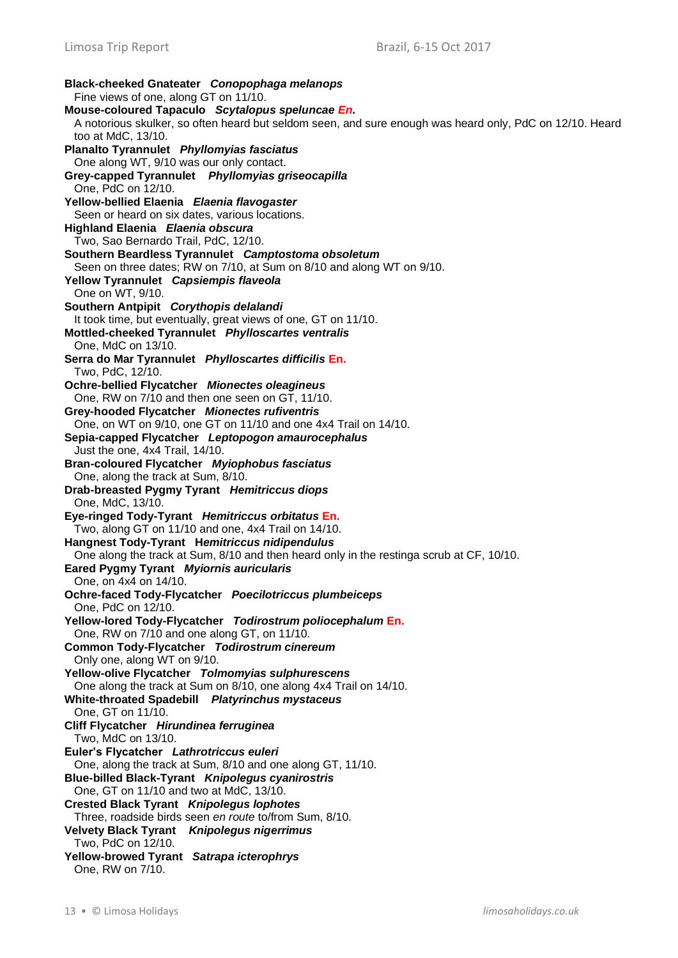**Black-cheeked Gnateater** *Conopophaga melanops* Fine views of one, along GT on 11/10. **Mouse-coloured Tapaculo** *Scytalopus speluncae En.* A notorious skulker, so often heard but seldom seen, and sure enough was heard only, PdC on 12/10. Heard too at MdC, 13/10. **Planalto Tyrannulet** *Phyllomyias fasciatus* One along WT, 9/10 was our only contact. **Grey-capped Tyrannulet** *Phyllomyias griseocapilla* One, PdC on 12/10. **Yellow-bellied Elaenia** *Elaenia flavogaster* Seen or heard on six dates, various locations. **Highland Elaenia** *Elaenia obscura* Two, Sao Bernardo Trail, PdC, 12/10. **Southern Beardless Tyrannulet** *Camptostoma obsoletum* Seen on three dates; RW on 7/10, at Sum on 8/10 and along WT on 9/10. **Yellow Tyrannulet** *Capsiempis flaveola* One on WT, 9/10. **Southern Antpipit** *Corythopis delalandi* It took time, but eventually, great views of one, GT on 11/10. **Mottled-cheeked Tyrannulet** *Phylloscartes ventralis* One, MdC on 13/10. **Serra do Mar Tyrannulet** *Phylloscartes difficilis* **En.** Two, PdC, 12/10. **Ochre-bellied Flycatcher** *Mionectes oleagineus* One, RW on 7/10 and then one seen on GT, 11/10. **Grey-hooded Flycatcher** *Mionectes rufiventris* One, on WT on 9/10, one GT on 11/10 and one 4x4 Trail on 14/10. **Sepia-capped Flycatcher** *Leptopogon amaurocephalus* Just the one, 4x4 Trail, 14/10. **Bran-coloured Flycatcher** *Myiophobus fasciatus* One, along the track at Sum, 8/10. **Drab-breasted Pygmy Tyrant** *Hemitriccus diops* One, MdC, 13/10. **Eye-ringed Tody-Tyrant** *Hemitriccus orbitatus* **En.** Two, along GT on 11/10 and one, 4x4 Trail on 14/10. **Hangnest Tody-Tyrant H***emitriccus nidipendulus* One along the track at Sum, 8/10 and then heard only in the restinga scrub at CF, 10/10. **Eared Pygmy Tyrant** *Myiornis auricularis* One, on 4x4 on 14/10. **Ochre-faced Tody-Flycatcher** *Poecilotriccus plumbeiceps* One, PdC on 12/10. **Yellow-lored Tody-Flycatcher** *Todirostrum poliocephalum* **En.** One, RW on 7/10 and one along GT, on 11/10. **Common Tody-Flycatcher** *Todirostrum cinereum* Only one, along WT on 9/10. **Yellow-olive Flycatcher** *Tolmomyias sulphurescens* One along the track at Sum on 8/10, one along 4x4 Trail on 14/10. **White-throated Spadebill** *Platyrinchus mystaceus* One, GT on 11/10. **Cliff Flycatcher** *Hirundinea ferruginea* Two, MdC on 13/10. **Euler's Flycatcher** *Lathrotriccus euleri* One, along the track at Sum, 8/10 and one along GT, 11/10. **Blue-billed Black-Tyrant** *Knipolegus cyanirostris* One, GT on 11/10 and two at MdC, 13/10. **Crested Black Tyrant** *Knipolegus lophotes* Three, roadside birds seen *en route* to/from Sum, 8/10. **Velvety Black Tyrant** *Knipolegus nigerrimus* Two, PdC on 12/10. **Yellow-browed Tyrant** *Satrapa icterophrys* One, RW on 7/10.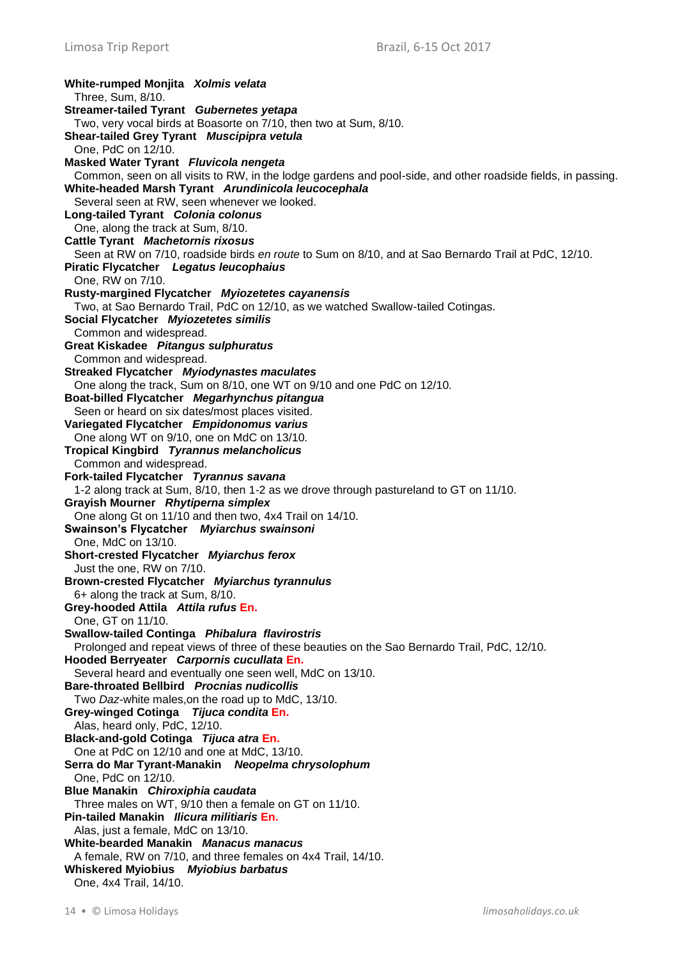**White-rumped Monjita** *Xolmis velata* Three, Sum, 8/10. **Streamer-tailed Tyrant** *Gubernetes yetapa* Two, very vocal birds at Boasorte on 7/10, then two at Sum, 8/10. **Shear-tailed Grey Tyrant** *Muscipipra vetula* One, PdC on 12/10. **Masked Water Tyrant** *Fluvicola nengeta* Common, seen on all visits to RW, in the lodge gardens and pool-side, and other roadside fields, in passing. **White-headed Marsh Tyrant** *Arundinicola leucocephala* Several seen at RW, seen whenever we looked. **Long-tailed Tyrant** *Colonia colonus* One, along the track at Sum, 8/10. **Cattle Tyrant** *Machetornis rixosus* Seen at RW on 7/10, roadside birds *en route* to Sum on 8/10, and at Sao Bernardo Trail at PdC, 12/10. **Piratic Flycatcher** *Legatus leucophaius* One, RW on 7/10. **Rusty-margined Flycatcher** *Myiozetetes cayanensis* Two, at Sao Bernardo Trail, PdC on 12/10, as we watched Swallow-tailed Cotingas. **Social Flycatcher** *Myiozetetes similis* Common and widespread. **Great Kiskadee** *Pitangus sulphuratus* Common and widespread. **Streaked Flycatcher** *Myiodynastes maculates* One along the track, Sum on 8/10, one WT on 9/10 and one PdC on 12/10. **Boat-billed Flycatcher** *Megarhynchus pitangua* Seen or heard on six dates/most places visited. **Variegated Flycatcher** *Empidonomus varius* One along WT on 9/10, one on MdC on 13/10. **Tropical Kingbird** *Tyrannus melancholicus* Common and widespread. **Fork-tailed Flycatcher** *Tyrannus savana* 1-2 along track at Sum, 8/10, then 1-2 as we drove through pastureland to GT on 11/10. **Grayish Mourner** *Rhytiperna simplex* One along Gt on 11/10 and then two, 4x4 Trail on 14/10. **Swainson's Flycatcher** *Myiarchus swainsoni* One, MdC on 13/10. **Short-crested Flycatcher** *Myiarchus ferox*  Just the one, RW on 7/10. **Brown-crested Flycatcher** *Myiarchus tyrannulus* 6+ along the track at Sum, 8/10. **Grey-hooded Attila** *Attila rufus* **En.** One, GT on 11/10. **Swallow-tailed Continga** *Phibalura flavirostris* Prolonged and repeat views of three of these beauties on the Sao Bernardo Trail, PdC, 12/10. **Hooded Berryeater** *Carpornis cucullata* **En.** Several heard and eventually one seen well, MdC on 13/10. **Bare-throated Bellbird** *Procnias nudicollis* Two *Daz*-white males,on the road up to MdC, 13/10. **Grey-winged Cotinga** *Tijuca condita* **En.** Alas, heard only, PdC, 12/10. **Black-and-gold Cotinga** *Tijuca atra* **En.** One at PdC on 12/10 and one at MdC, 13/10. **Serra do Mar Tyrant-Manakin** *Neopelma chrysolophum* One, PdC on 12/10. **Blue Manakin** *Chiroxiphia caudata* Three males on WT, 9/10 then a female on GT on 11/10. **Pin-tailed Manakin** *Ilicura militiaris* **En.** Alas, just a female, MdC on 13/10. **White-bearded Manakin** *Manacus manacus* A female, RW on 7/10, and three females on 4x4 Trail, 14/10. **Whiskered Myiobius** *Myiobius barbatus* One, 4x4 Trail, 14/10.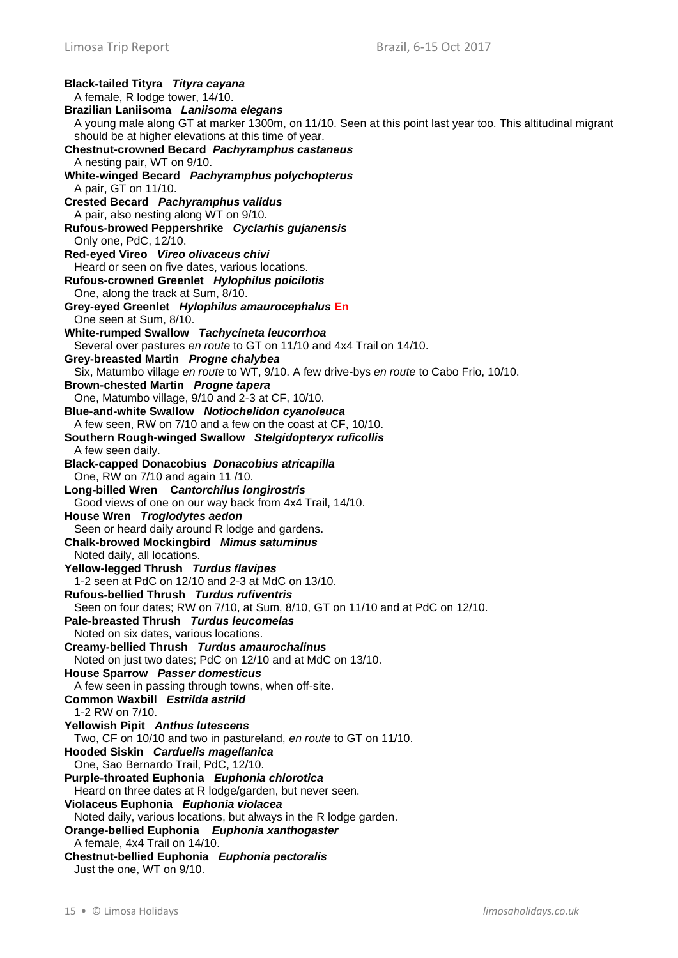**Black-tailed Tityra** *Tityra cayana* A female, R lodge tower, 14/10. **Brazilian Laniisoma** *Laniisoma elegans* A young male along GT at marker 1300m, on 11/10. Seen at this point last year too. This altitudinal migrant should be at higher elevations at this time of year. **Chestnut-crowned Becard** *Pachyramphus castaneus* A nesting pair, WT on 9/10. **White-winged Becard** *Pachyramphus polychopterus* A pair, GT on 11/10. **Crested Becard** *Pachyramphus validus* A pair, also nesting along WT on 9/10. **Rufous-browed Peppershrike** *Cyclarhis gujanensis* Only one, PdC, 12/10. **Red-eyed Vireo** *Vireo olivaceus chivi* Heard or seen on five dates, various locations. **Rufous-crowned Greenlet** *Hylophilus poicilotis* One, along the track at Sum, 8/10. **Grey-eyed Greenlet** *Hylophilus amaurocephalus* **En** One seen at Sum, 8/10. **White-rumped Swallow** *Tachycineta leucorrhoa* Several over pastures *en route* to GT on 11/10 and 4x4 Trail on 14/10. **Grey-breasted Martin** *Progne chalybea* Six, Matumbo village *en route* to WT, 9/10. A few drive-bys *en route* to Cabo Frio, 10/10. **Brown-chested Martin** *Progne tapera* One, Matumbo village, 9/10 and 2-3 at CF, 10/10. **Blue-and-white Swallow** *Notiochelidon cyanoleuca* A few seen, RW on 7/10 and a few on the coast at CF, 10/10. **Southern Rough-winged Swallow** *Stelgidopteryx ruficollis* A few seen daily. **Black-capped Donacobius** *Donacobius atricapilla* One, RW on 7/10 and again 11 /10. **Long-billed Wren C***antorchilus longirostris* Good views of one on our way back from 4x4 Trail, 14/10. **House Wren** *Troglodytes aedon* Seen or heard daily around R lodge and gardens. **Chalk-browed Mockingbird** *Mimus saturninus* Noted daily, all locations. **Yellow-legged Thrush** *Turdus flavipes* 1-2 seen at PdC on 12/10 and 2-3 at MdC on 13/10. **Rufous-bellied Thrush** *Turdus rufiventris* Seen on four dates; RW on 7/10, at Sum, 8/10, GT on 11/10 and at PdC on 12/10. **Pale-breasted Thrush** *Turdus leucomelas* Noted on six dates, various locations. **Creamy-bellied Thrush** *Turdus amaurochalinus* Noted on just two dates; PdC on 12/10 and at MdC on 13/10. **House Sparrow** *Passer domesticus* A few seen in passing through towns, when off-site. **Common Waxbill** *Estrilda astrild* 1-2 RW on 7/10. **Yellowish Pipit** *Anthus lutescens* Two, CF on 10/10 and two in pastureland, *en route* to GT on 11/10. **Hooded Siskin** *Carduelis magellanica* One, Sao Bernardo Trail, PdC, 12/10. **Purple-throated Euphonia** *Euphonia chlorotica* Heard on three dates at R lodge/garden, but never seen. **Violaceus Euphonia** *Euphonia violacea* Noted daily, various locations, but always in the R lodge garden. **Orange-bellied Euphonia** *Euphonia xanthogaster* A female, 4x4 Trail on 14/10. **Chestnut-bellied Euphonia** *Euphonia pectoralis* Just the one, WT on 9/10.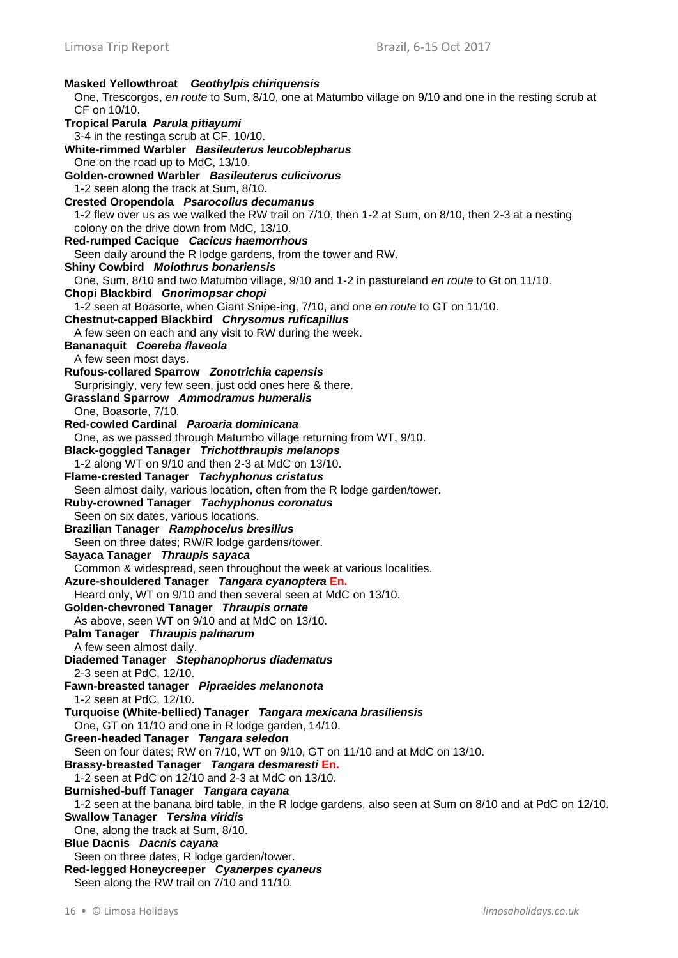**Masked Yellowthroat** *Geothylpis chiriquensis* One, Trescorgos, *en route* to Sum, 8/10, one at Matumbo village on 9/10 and one in the resting scrub at CF on 10/10. **Tropical Parula** *Parula pitiayumi* 3-4 in the restinga scrub at CF, 10/10. **White-rimmed Warbler** *Basileuterus leucoblepharus* One on the road up to MdC, 13/10. **Golden-crowned Warbler** *Basileuterus culicivorus* 1-2 seen along the track at Sum, 8/10. **Crested Oropendola** *Psarocolius decumanus* 1-2 flew over us as we walked the RW trail on 7/10, then 1-2 at Sum, on 8/10, then 2-3 at a nesting colony on the drive down from MdC, 13/10. **Red-rumped Cacique** *Cacicus haemorrhous* Seen daily around the R lodge gardens, from the tower and RW. **Shiny Cowbird** *Molothrus bonariensis* One, Sum, 8/10 and two Matumbo village, 9/10 and 1-2 in pastureland *en route* to Gt on 11/10. **Chopi Blackbird** *Gnorimopsar chopi* 1-2 seen at Boasorte, when Giant Snipe-ing, 7/10, and one *en route* to GT on 11/10. **Chestnut-capped Blackbird** *Chrysomus ruficapillus* A few seen on each and any visit to RW during the week. **Bananaquit** *Coereba flaveola* A few seen most days. **Rufous-collared Sparrow** *Zonotrichia capensis* Surprisingly, very few seen, just odd ones here & there. **Grassland Sparrow** *Ammodramus humeralis* One, Boasorte, 7/10. **Red-cowled Cardinal** *Paroaria dominicana* One, as we passed through Matumbo village returning from WT, 9/10. **Black-goggled Tanager** *Trichotthraupis melanops* 1-2 along WT on 9/10 and then 2-3 at MdC on 13/10. **Flame-crested Tanager** *Tachyphonus cristatus* Seen almost daily, various location, often from the R lodge garden/tower. **Ruby-crowned Tanager** *Tachyphonus coronatus* Seen on six dates, various locations. **Brazilian Tanager** *Ramphocelus bresilius* Seen on three dates; RW/R lodge gardens/tower. **Sayaca Tanager** *Thraupis sayaca* Common & widespread, seen throughout the week at various localities. **Azure-shouldered Tanager** *Tangara cyanoptera* **En.** Heard only, WT on 9/10 and then several seen at MdC on 13/10. **Golden-chevroned Tanager** *Thraupis ornate* As above, seen WT on 9/10 and at MdC on 13/10. **Palm Tanager** *Thraupis palmarum* A few seen almost daily. **Diademed Tanager** *Stephanophorus diadematus* 2-3 seen at PdC, 12/10. **Fawn-breasted tanager** *Pipraeides melanonota* 1-2 seen at PdC, 12/10. **Turquoise (White-bellied) Tanager** *Tangara mexicana brasiliensis* One, GT on 11/10 and one in R lodge garden, 14/10. **Green-headed Tanager** *Tangara seledon* Seen on four dates; RW on 7/10, WT on 9/10, GT on 11/10 and at MdC on 13/10. **Brassy-breasted Tanager** *Tangara desmaresti* **En.** 1-2 seen at PdC on 12/10 and 2-3 at MdC on 13/10. **Burnished-buff Tanager** *Tangara cayana* 1-2 seen at the banana bird table, in the R lodge gardens, also seen at Sum on 8/10 and at PdC on 12/10. **Swallow Tanager** *Tersina viridis* One, along the track at Sum, 8/10. **Blue Dacnis** *Dacnis cayana* Seen on three dates, R lodge garden/tower. **Red-legged Honeycreeper** *Cyanerpes cyaneus* Seen along the RW trail on 7/10 and 11/10.